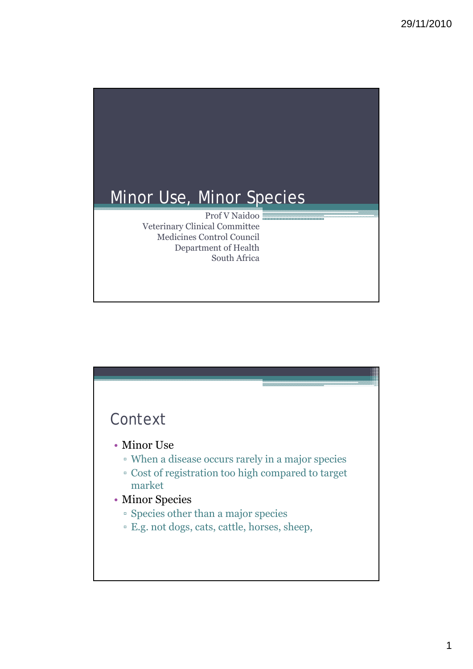

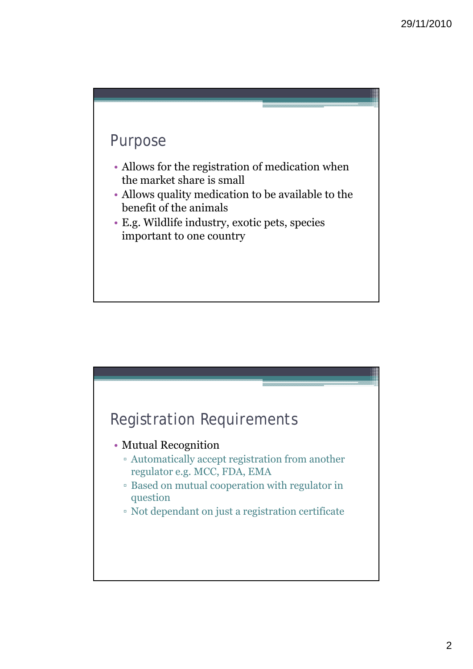

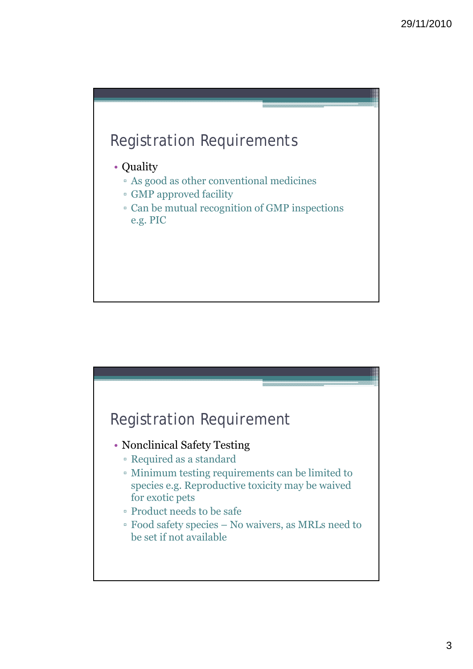

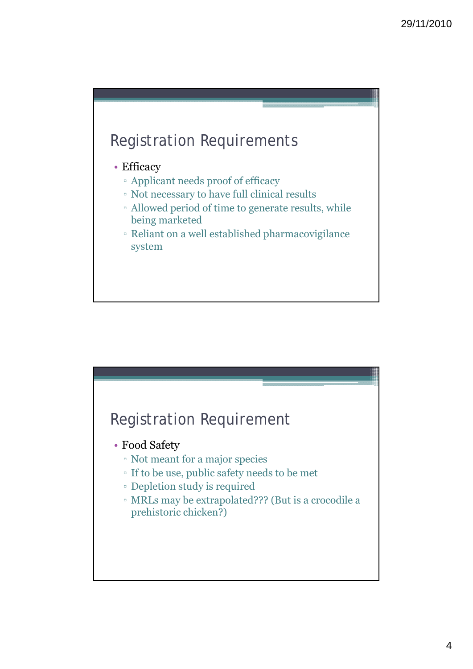

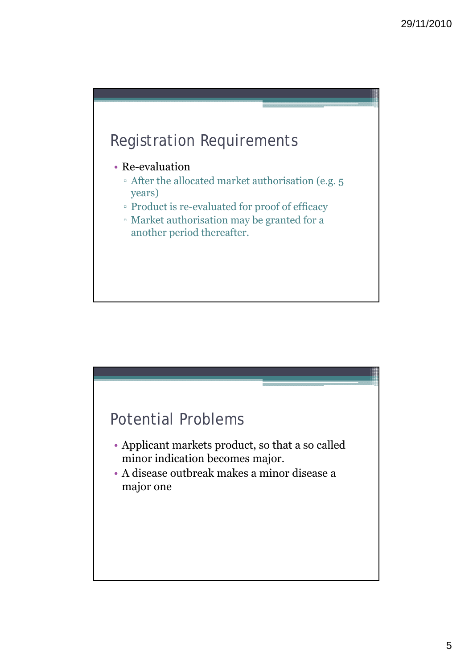